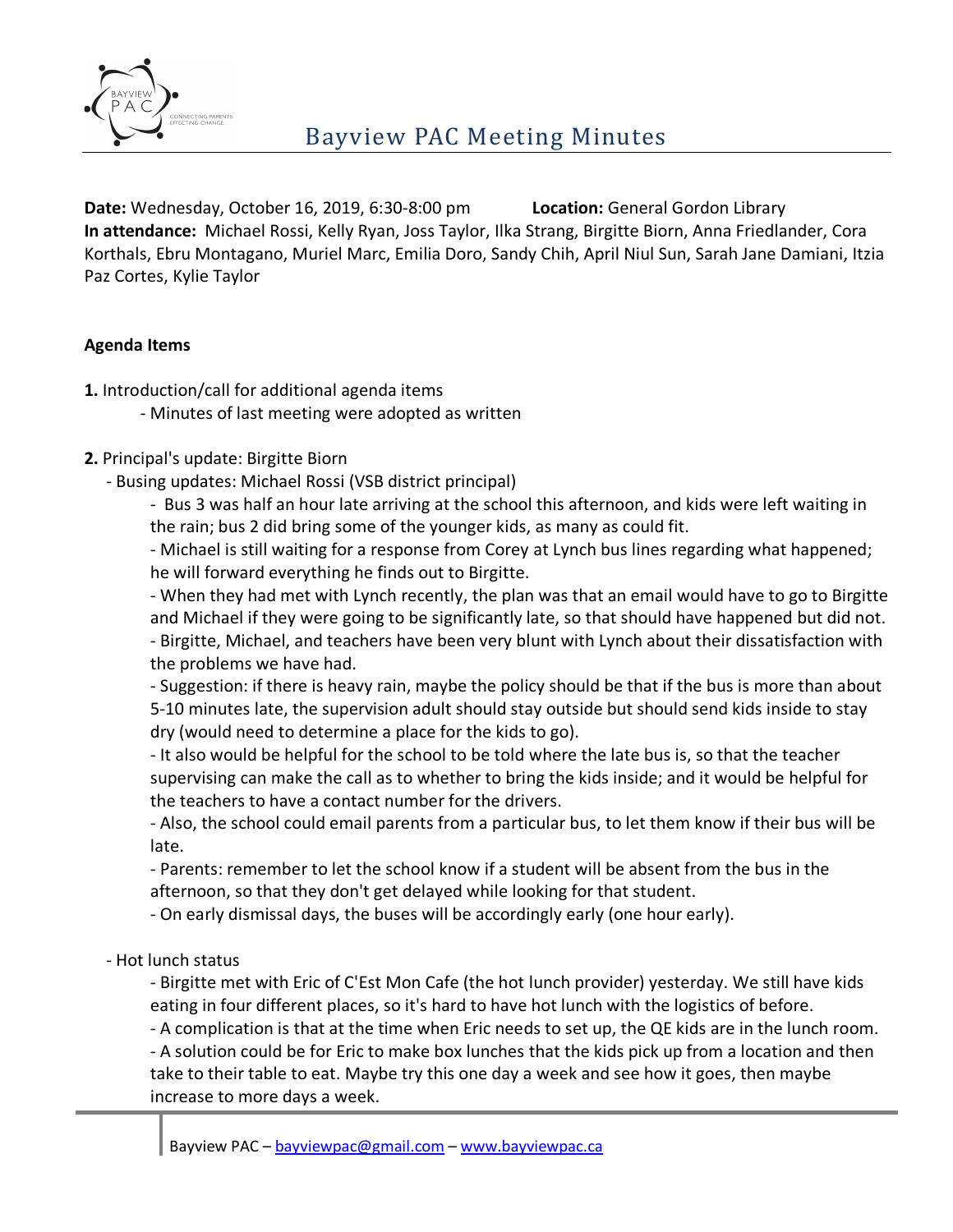

**Date:** Wednesday, October 16, 2019, 6:30-8:00 pm **Location:** General Gordon Library **In attendance:** Michael Rossi, Kelly Ryan, Joss Taylor, Ilka Strang, Birgitte Biorn, Anna Friedlander, Cora Korthals, Ebru Montagano, Muriel Marc, Emilia Doro, Sandy Chih, April Niul Sun, Sarah Jane Damiani, Itzia Paz Cortes, Kylie Taylor

### **Agenda Items**

- **1.** Introduction/call for additional agenda items
	- Minutes of last meeting were adopted as written
- **2.** Principal's update: Birgitte Biorn
	- Busing updates: Michael Rossi (VSB district principal)

- Bus 3 was half an hour late arriving at the school this afternoon, and kids were left waiting in the rain; bus 2 did bring some of the younger kids, as many as could fit.

- Michael is still waiting for a response from Corey at Lynch bus lines regarding what happened; he will forward everything he finds out to Birgitte.

- When they had met with Lynch recently, the plan was that an email would have to go to Birgitte and Michael if they were going to be significantly late, so that should have happened but did not. - Birgitte, Michael, and teachers have been very blunt with Lynch about their dissatisfaction with the problems we have had.

- Suggestion: if there is heavy rain, maybe the policy should be that if the bus is more than about 5-10 minutes late, the supervision adult should stay outside but should send kids inside to stay dry (would need to determine a place for the kids to go).

- It also would be helpful for the school to be told where the late bus is, so that the teacher supervising can make the call as to whether to bring the kids inside; and it would be helpful for the teachers to have a contact number for the drivers.

- Also, the school could email parents from a particular bus, to let them know if their bus will be late.

- Parents: remember to let the school know if a student will be absent from the bus in the afternoon, so that they don't get delayed while looking for that student.

- On early dismissal days, the buses will be accordingly early (one hour early).

- Hot lunch status

- Birgitte met with Eric of C'Est Mon Cafe (the hot lunch provider) yesterday. We still have kids eating in four different places, so it's hard to have hot lunch with the logistics of before.

- A complication is that at the time when Eric needs to set up, the QE kids are in the lunch room.

- A solution could be for Eric to make box lunches that the kids pick up from a location and then take to their table to eat. Maybe try this one day a week and see how it goes, then maybe increase to more days a week.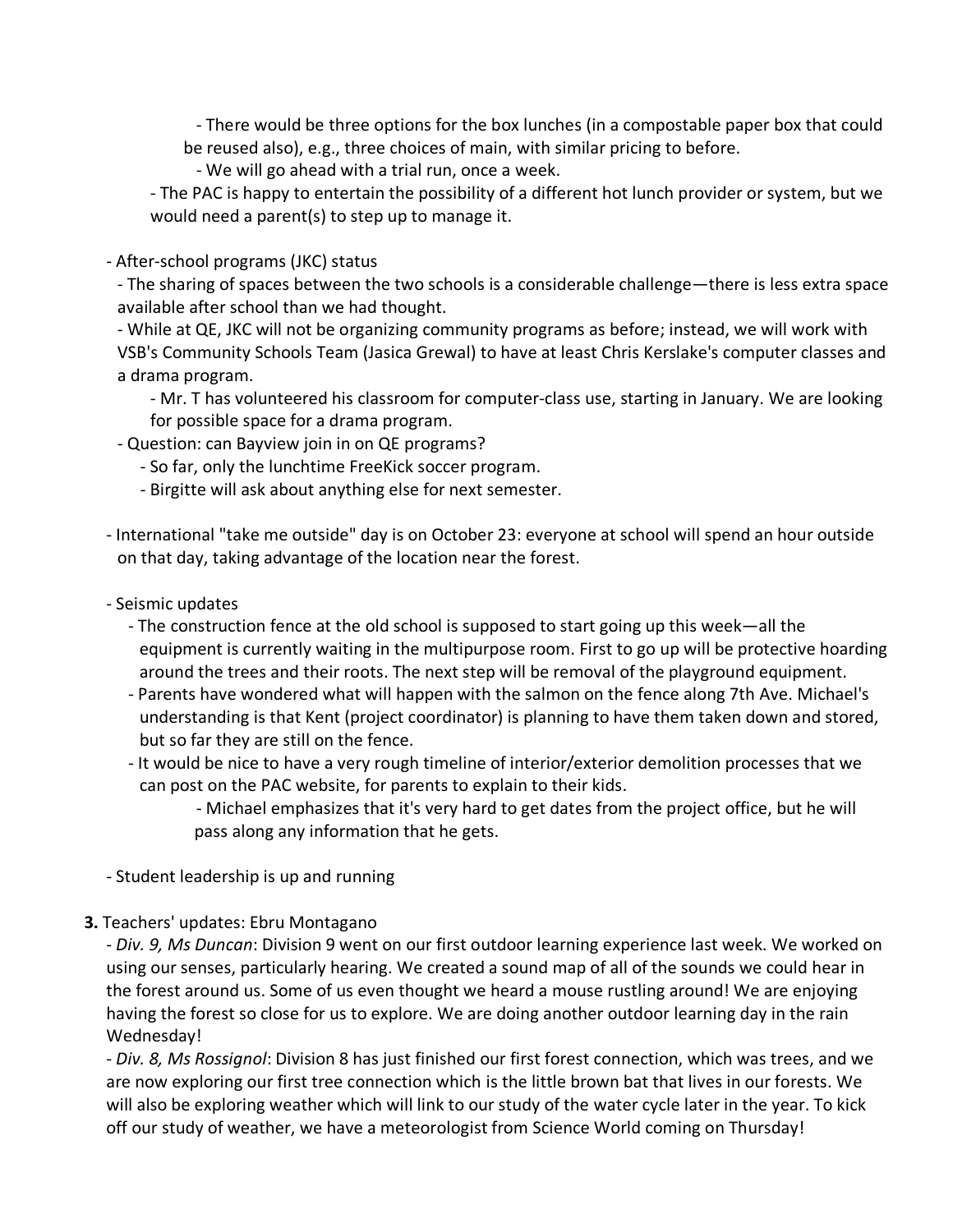- There would be three options for the box lunches (in a compostable paper box that could be reused also), e.g., three choices of main, with similar pricing to before.

- We will go ahead with a trial run, once a week.

- The PAC is happy to entertain the possibility of a different hot lunch provider or system, but we would need a parent(s) to step up to manage it.

#### - After-school programs (JKC) status

- The sharing of spaces between the two schools is a considerable challenge—there is less extra space available after school than we had thought.

- While at QE, JKC will not be organizing community programs as before; instead, we will work with VSB's Community Schools Team (Jasica Grewal) to have at least Chris Kerslake's computer classes and a drama program.

- Mr. T has volunteered his classroom for computer-class use, starting in January. We are looking for possible space for a drama program.
- Question: can Bayview join in on QE programs?
	- So far, only the lunchtime FreeKick soccer program.
	- Birgitte will ask about anything else for next semester.
- International "take me outside" day is on October 23: everyone at school will spend an hour outside on that day, taking advantage of the location near the forest.
- Seismic updates
	- The construction fence at the old school is supposed to start going up this week—all the equipment is currently waiting in the multipurpose room. First to go up will be protective hoarding around the trees and their roots. The next step will be removal of the playground equipment.
	- Parents have wondered what will happen with the salmon on the fence along 7th Ave. Michael's understanding is that Kent (project coordinator) is planning to have them taken down and stored, but so far they are still on the fence.
	- It would be nice to have a very rough timeline of interior/exterior demolition processes that we can post on the PAC website, for parents to explain to their kids.

- Michael emphasizes that it's very hard to get dates from the project office, but he will pass along any information that he gets.

- Student leadership is up and running

**3.** Teachers' updates: Ebru Montagano

- *Div. 9, Ms Duncan*: Division 9 went on our first outdoor learning experience last week. We worked on using our senses, particularly hearing. We created a sound map of all of the sounds we could hear in the forest around us. Some of us even thought we heard a mouse rustling around! We are enjoying having the forest so close for us to explore. We are doing another outdoor learning day in the rain Wednesday!

- *Div. 8, Ms Rossignol*: Division 8 has just finished our first forest connection, which was trees, and we are now exploring our first tree connection which is the little brown bat that lives in our forests. We will also be exploring weather which will link to our study of the water cycle later in the year. To kick off our study of weather, we have a meteorologist from Science World coming on Thursday!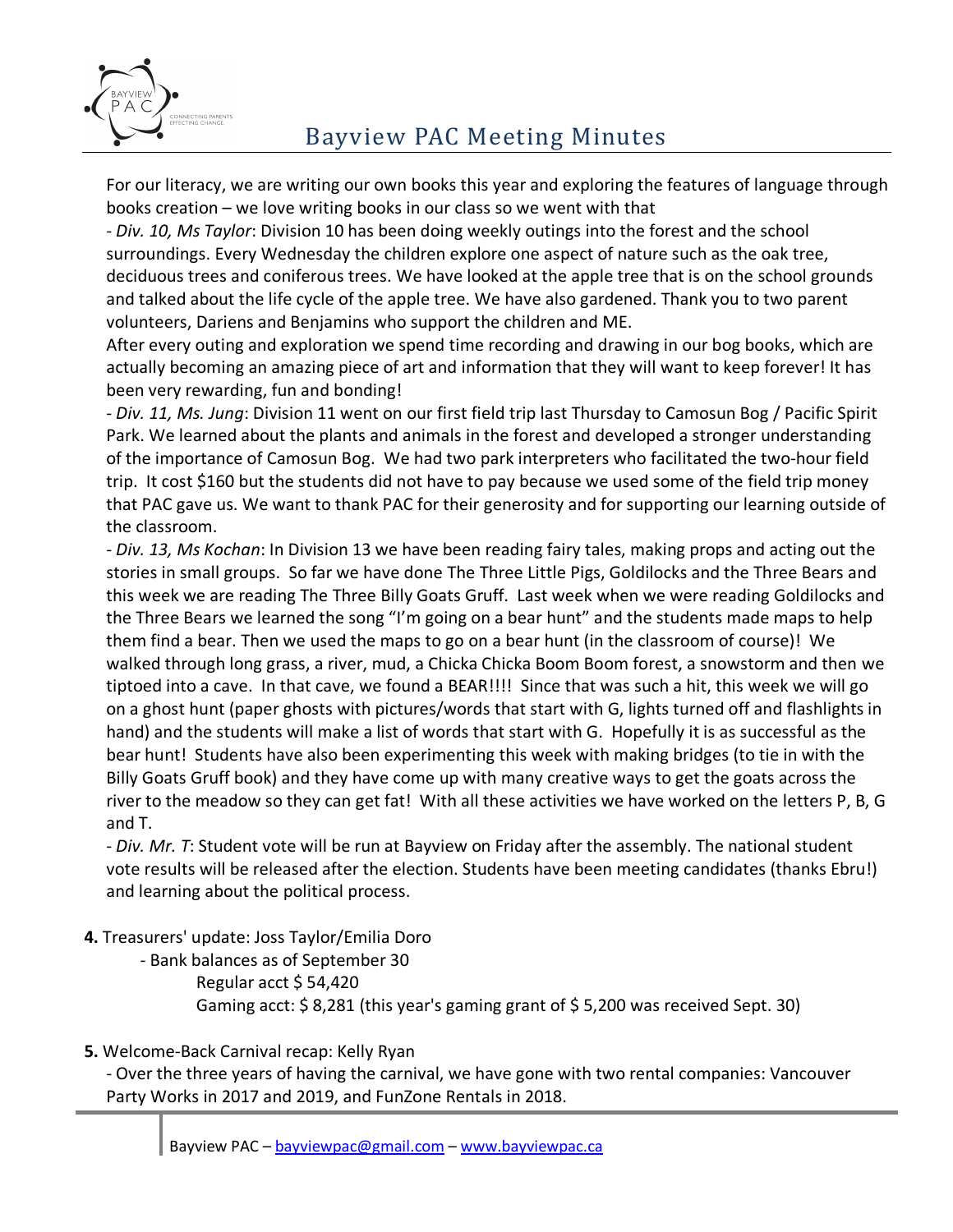

## Bayview PAC Meeting Minutes

For our literacy, we are writing our own books this year and exploring the features of language through books creation – we love writing books in our class so we went with that

- *Div. 10, Ms Taylor*: Division 10 has been doing weekly outings into the forest and the school surroundings. Every Wednesday the children explore one aspect of nature such as the oak tree, deciduous trees and coniferous trees. We have looked at the apple tree that is on the school grounds and talked about the life cycle of the apple tree. We have also gardened. Thank you to two parent volunteers, Dariens and Benjamins who support the children and ME.

After every outing and exploration we spend time recording and drawing in our bog books, which are actually becoming an amazing piece of art and information that they will want to keep forever! It has been very rewarding, fun and bonding!

- *Div. 11, Ms. Jung*: Division 11 went on our first field trip last Thursday to Camosun Bog / Pacific Spirit Park. We learned about the plants and animals in the forest and developed a stronger understanding of the importance of Camosun Bog. We had two park interpreters who facilitated the two-hour field trip. It cost \$160 but the students did not have to pay because we used some of the field trip money that PAC gave us. We want to thank PAC for their generosity and for supporting our learning outside of the classroom.

- *Div. 13, Ms Kochan*: In Division 13 we have been reading fairy tales, making props and acting out the stories in small groups. So far we have done The Three Little Pigs, Goldilocks and the Three Bears and this week we are reading The Three Billy Goats Gruff. Last week when we were reading Goldilocks and the Three Bears we learned the song "I'm going on a bear hunt" and the students made maps to help them find a bear. Then we used the maps to go on a bear hunt (in the classroom of course)! We walked through long grass, a river, mud, a Chicka Chicka Boom Boom forest, a snowstorm and then we tiptoed into a cave. In that cave, we found a BEAR!!!! Since that was such a hit, this week we will go on a ghost hunt (paper ghosts with pictures/words that start with G, lights turned off and flashlights in hand) and the students will make a list of words that start with G. Hopefully it is as successful as the bear hunt! Students have also been experimenting this week with making bridges (to tie in with the Billy Goats Gruff book) and they have come up with many creative ways to get the goats across the river to the meadow so they can get fat! With all these activities we have worked on the letters P, B, G and T.

- *Div. Mr. T*: Student vote will be run at Bayview on Friday after the assembly. The national student vote results will be released after the election. Students have been meeting candidates (thanks Ebru!) and learning about the political process.

**4.** Treasurers' update: Joss Taylor/Emilia Doro

- Bank balances as of September 30 Regular acct \$ 54,420 Gaming acct: \$ 8,281 (this year's gaming grant of \$ 5,200 was received Sept. 30)

**5.** Welcome-Back Carnival recap: Kelly Ryan

- Over the three years of having the carnival, we have gone with two rental companies: Vancouver Party Works in 2017 and 2019, and FunZone Rentals in 2018.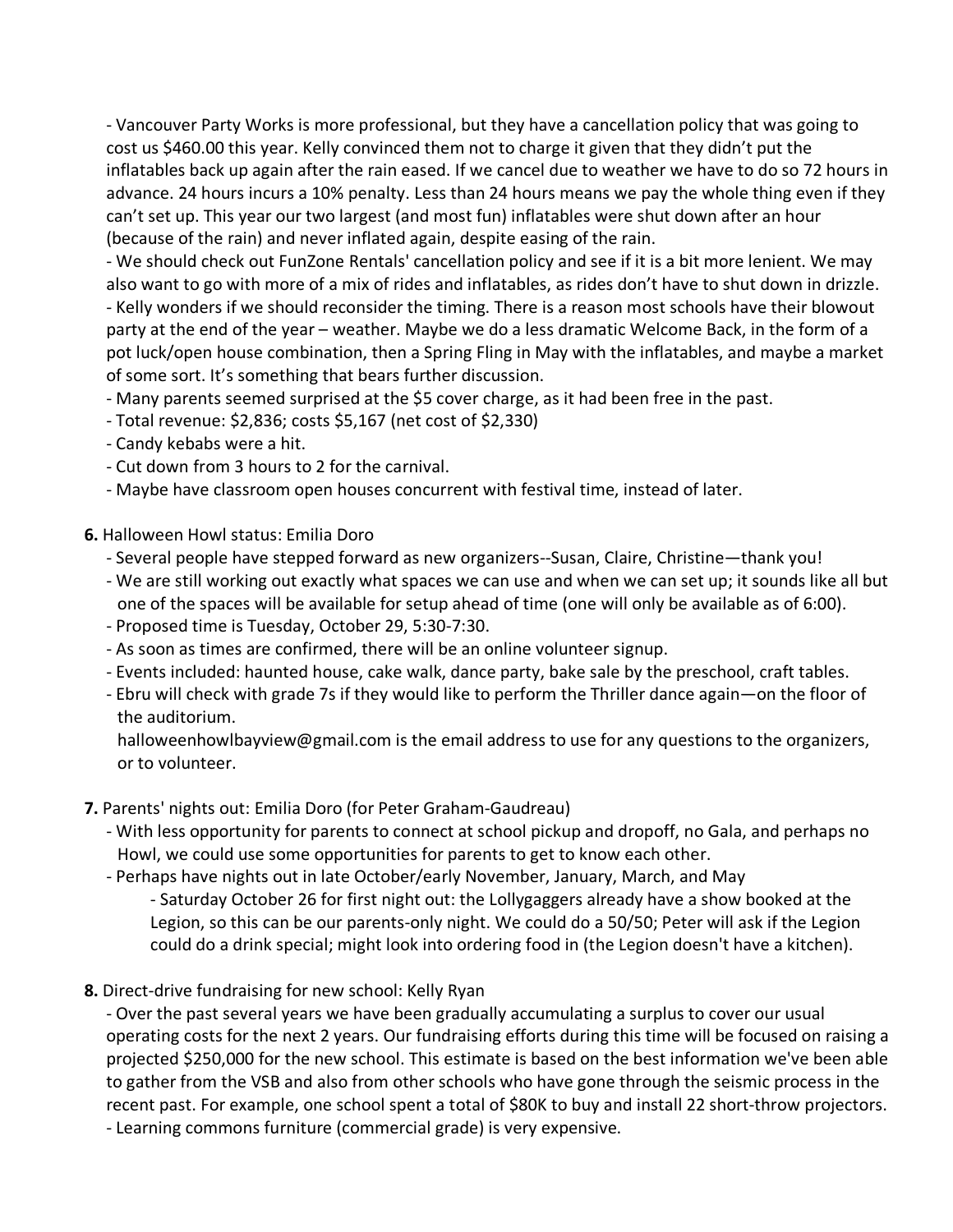- Vancouver Party Works is more professional, but they have a cancellation policy that was going to cost us \$460.00 this year. Kelly convinced them not to charge it given that they didn't put the inflatables back up again after the rain eased. If we cancel due to weather we have to do so 72 hours in advance. 24 hours incurs a 10% penalty. Less than 24 hours means we pay the whole thing even if they can't set up. This year our two largest (and most fun) inflatables were shut down after an hour (because of the rain) and never inflated again, despite easing of the rain.

- We should check out FunZone Rentals' cancellation policy and see if it is a bit more lenient. We may also want to go with more of a mix of rides and inflatables, as rides don't have to shut down in drizzle. - Kelly wonders if we should reconsider the timing. There is a reason most schools have their blowout party at the end of the year – weather. Maybe we do a less dramatic Welcome Back, in the form of a pot luck/open house combination, then a Spring Fling in May with the inflatables, and maybe a market of some sort. It's something that bears further discussion.

- Many parents seemed surprised at the \$5 cover charge, as it had been free in the past.

- Total revenue: \$2,836; costs \$5,167 (net cost of \$2,330)
- Candy kebabs were a hit.
- Cut down from 3 hours to 2 for the carnival.
- Maybe have classroom open houses concurrent with festival time, instead of later.

**6.** Halloween Howl status: Emilia Doro

- Several people have stepped forward as new organizers--Susan, Claire, Christine—thank you!
- We are still working out exactly what spaces we can use and when we can set up; it sounds like all but one of the spaces will be available for setup ahead of time (one will only be available as of 6:00).
- Proposed time is Tuesday, October 29, 5:30-7:30.
- As soon as times are confirmed, there will be an online volunteer signup.
- Events included: haunted house, cake walk, dance party, bake sale by the preschool, craft tables.
- Ebru will check with grade 7s if they would like to perform the Thriller dance again—on the floor of the auditorium.

halloweenhowlbayview@gmail.com is the email address to use for any questions to the organizers, or to volunteer.

- **7.** Parents' nights out: Emilia Doro (for Peter Graham-Gaudreau)
	- With less opportunity for parents to connect at school pickup and dropoff, no Gala, and perhaps no Howl, we could use some opportunities for parents to get to know each other.
	- Perhaps have nights out in late October/early November, January, March, and May
		- Saturday October 26 for first night out: the Lollygaggers already have a show booked at the Legion, so this can be our parents-only night. We could do a 50/50; Peter will ask if the Legion could do a drink special; might look into ordering food in (the Legion doesn't have a kitchen).
- **8.** Direct-drive fundraising for new school: Kelly Ryan

- Over the past several years we have been gradually accumulating a surplus to cover our usual operating costs for the next 2 years. Our fundraising efforts during this time will be focused on raising a projected \$250,000 for the new school. This estimate is based on the best information we've been able to gather from the VSB and also from other schools who have gone through the seismic process in the recent past. For example, one school spent a total of \$80K to buy and install 22 short-throw projectors. - Learning commons furniture (commercial grade) is very expensive.